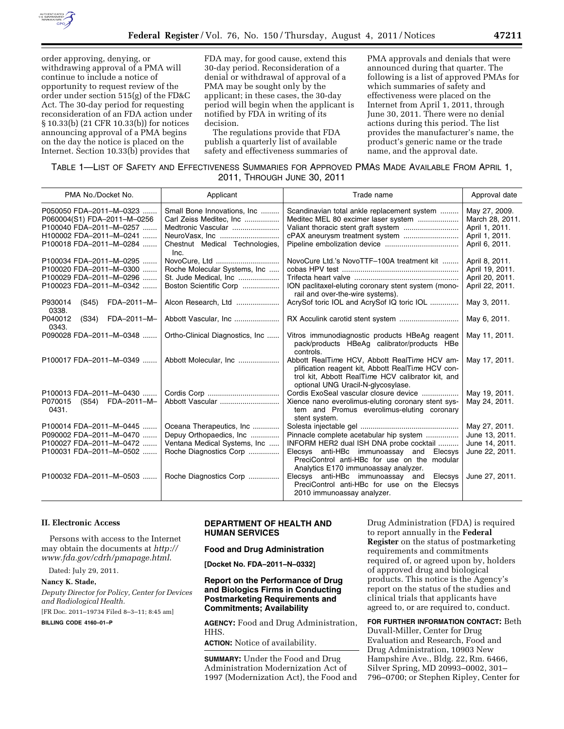

order approving, denying, or withdrawing approval of a PMA will continue to include a notice of opportunity to request review of the order under section 515(g) of the FD&C Act. The 30-day period for requesting reconsideration of an FDA action under § 10.33(b) (21 CFR 10.33(b)) for notices announcing approval of a PMA begins on the day the notice is placed on the Internet. Section 10.33(b) provides that

FDA may, for good cause, extend this 30-day period. Reconsideration of a denial or withdrawal of approval of a PMA may be sought only by the applicant; in these cases, the 30-day period will begin when the applicant is notified by FDA in writing of its decision.

The regulations provide that FDA publish a quarterly list of available safety and effectiveness summaries of PMA approvals and denials that were announced during that quarter. The following is a list of approved PMAs for which summaries of safety and effectiveness were placed on the Internet from April 1, 2011, through June 30, 2011. There were no denial actions during this period. The list provides the manufacturer's name, the product's generic name or the trade name, and the approval date.

| TABLE 1—LIST OF SAFETY AND EFFECTIVENESS SUMMARIES FOR APPROVED PMAS MADE AVAILABLE FROM APRIL 1, |  |                             |  |  |
|---------------------------------------------------------------------------------------------------|--|-----------------------------|--|--|
|                                                                                                   |  | 2011, THROUGH JUNE 30, 2011 |  |  |

| PMA No./Docket No.                                                                                                                      | Applicant                                                                                                              | Trade name                                                                                                                                                                                                             | Approval date                                                                          |
|-----------------------------------------------------------------------------------------------------------------------------------------|------------------------------------------------------------------------------------------------------------------------|------------------------------------------------------------------------------------------------------------------------------------------------------------------------------------------------------------------------|----------------------------------------------------------------------------------------|
| P050050 FDA-2011-M-0323<br>P060004(S1) FDA-2011-M-0256<br>P100040 FDA-2011-M-0257<br>H100002 FDA-2011-M-0241<br>P100018 FDA-2011-M-0284 | Small Bone Innovations, Inc<br>Carl Zeiss Meditec, Inc<br>Medtronic Vascular<br>Chestnut Medical Technologies,<br>Inc. | Scandinavian total ankle replacement system<br>Meditec MEL 80 excimer laser system                                                                                                                                     | May 27, 2009.<br>March 28, 2011.<br>April 1, 2011.<br>April 1, 2011.<br>April 6, 2011. |
| P100034 FDA-2011-M-0295<br>P100020 FDA-2011-M-0300<br>P100029 FDA-2011-M-0296<br>P100023 FDA-2011-M-0342                                | NovoCure, Ltd<br>Roche Molecular Systems, Inc<br>St. Jude Medical, Inc<br>Boston Scientific Corp                       | NovoCure Ltd.'s NovoTTF-100A treatment kit<br>ION paclitaxel-eluting coronary stent system (mono-<br>rail and over-the-wire systems).                                                                                  | April 8, 2011.<br>April 19, 2011.<br>April 20, 2011.<br>April 22, 2011.                |
| FDA-2011-M-<br>P930014<br>(S45)<br>0338.                                                                                                | Alcon Research, Ltd                                                                                                    | AcrySof toric IOL and AcrySof IQ toric IOL                                                                                                                                                                             | May 3, 2011.                                                                           |
| P040012<br>FDA-2011-M-<br>(S34)<br>0343.                                                                                                | Abbott Vascular, Inc                                                                                                   |                                                                                                                                                                                                                        | May 6, 2011.                                                                           |
| P090028 FDA-2011-M-0348                                                                                                                 | Ortho-Clinical Diagnostics, Inc                                                                                        | Vitros immunodiagnostic products HBeAg reagent<br>pack/products HBeAg calibrator/products HBe<br>controls.                                                                                                             | May 11, 2011.                                                                          |
| P100017 FDA-2011-M-0349                                                                                                                 |                                                                                                                        | Abbott RealTime HCV, Abbott RealTime HCV am-<br>plification reagent kit, Abbott RealTime HCV con-<br>trol kit, Abbott RealTime HCV calibrator kit, and<br>optional UNG Uracil-N-glycosylase.                           | May 17, 2011.                                                                          |
| P100013 FDA-2011-M-0430<br>P070015<br>(S54) FDA-2011-M-<br>0431.                                                                        | Abbott Vascular                                                                                                        | Cordis ExoSeal vascular closure device<br>Xience nano everolimus-eluting coronary stent sys-<br>tem and Promus everolimus-eluting coronary<br>stent system.                                                            | May 19, 2011.<br>May 24, 2011.                                                         |
| P100014 FDA-2011-M-0445<br>P090002 FDA-2011-M-0470<br>P100027 FDA-2011-M-0472<br>P100031 FDA-2011-M-0502                                | Oceana Therapeutics, Inc<br>Depuy Orthopaedics, Inc<br>Ventana Medical Systems, Inc<br>Roche Diagnostics Corp          | Pinnacle complete acetabular hip system<br>INFORM HER2 dual ISH DNA probe cocktail<br>Elecsys anti-HBc immunoassay and Elecsys<br>PreciControl anti-HBc for use on the modular<br>Analytics E170 immunoassay analyzer. | May 27, 2011.<br>June 13, 2011.<br>June 14, 2011.<br>June 22, 2011.                    |
| P100032 FDA-2011-M-0503                                                                                                                 | Roche Diagnostics Corp                                                                                                 | Elecsys anti-HBc immunoassay and<br>Elecsys<br>PreciControl anti-HBc for use on the Elecsys<br>2010 immunoassay analyzer.                                                                                              | June 27, 2011.                                                                         |

#### **II. Electronic Access**

Persons with access to the Internet may obtain the documents at *[http://](http://www.fda.gov/cdrh/pmapage.html) [www.fda.gov/cdrh/pmapage.html](http://www.fda.gov/cdrh/pmapage.html)*.

Dated: July 29, 2011.

### **Nancy K. Stade,**

*Deputy Director for Policy, Center for Devices and Radiological Health.* 

[FR Doc. 2011–19734 Filed 8–3–11; 8:45 am]

**BILLING CODE 4160–01–P** 

## **DEPARTMENT OF HEALTH AND HUMAN SERVICES**

#### **Food and Drug Administration**

**[Docket No. FDA–2011–N–0332]** 

## **Report on the Performance of Drug and Biologics Firms in Conducting Postmarketing Requirements and Commitments; Availability**

**AGENCY:** Food and Drug Administration, HHS.

**ACTION:** Notice of availability.

**SUMMARY:** Under the Food and Drug Administration Modernization Act of 1997 (Modernization Act), the Food and Drug Administration (FDA) is required to report annually in the **Federal Register** on the status of postmarketing requirements and commitments required of, or agreed upon by, holders of approved drug and biological products. This notice is the Agency's report on the status of the studies and clinical trials that applicants have agreed to, or are required to, conduct.

**FOR FURTHER INFORMATION CONTACT:** Beth Duvall-Miller, Center for Drug Evaluation and Research, Food and Drug Administration, 10903 New Hampshire Ave., Bldg. 22, Rm. 6466, Silver Spring, MD 20993–0002, 301– 796–0700; or Stephen Ripley, Center for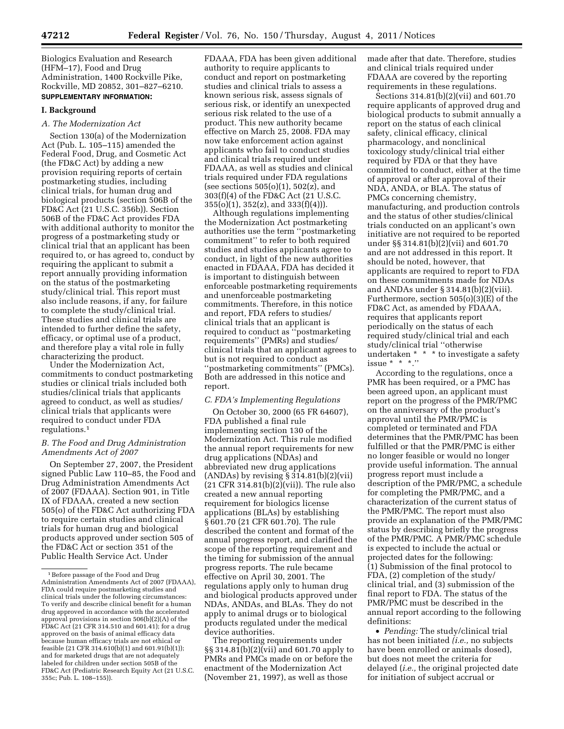Biologics Evaluation and Research (HFM–17), Food and Drug Administration, 1400 Rockville Pike, Rockville, MD 20852, 301–827–6210. **SUPPLEMENTARY INFORMATION:** 

#### **I. Background**

## *A. The Modernization Act*

Section 130(a) of the Modernization Act (Pub. L. 105–115) amended the Federal Food, Drug, and Cosmetic Act (the FD&C Act) by adding a new provision requiring reports of certain postmarketing studies, including clinical trials, for human drug and biological products (section 506B of the FD&C Act (21 U.S.C. 356b)). Section 506B of the FD&C Act provides FDA with additional authority to monitor the progress of a postmarketing study or clinical trial that an applicant has been required to, or has agreed to, conduct by requiring the applicant to submit a report annually providing information on the status of the postmarketing study/clinical trial. This report must also include reasons, if any, for failure to complete the study/clinical trial. These studies and clinical trials are intended to further define the safety, efficacy, or optimal use of a product, and therefore play a vital role in fully characterizing the product.

Under the Modernization Act, commitments to conduct postmarketing studies or clinical trials included both studies/clinical trials that applicants agreed to conduct, as well as studies/ clinical trials that applicants were required to conduct under FDA regulations.1

## *B. The Food and Drug Administration Amendments Act of 2007*

On September 27, 2007, the President signed Public Law 110–85, the Food and Drug Administration Amendments Act of 2007 (FDAAA). Section 901, in Title IX of FDAAA, created a new section 505(o) of the FD&C Act authorizing FDA to require certain studies and clinical trials for human drug and biological products approved under section 505 of the FD&C Act or section 351 of the Public Health Service Act. Under

FDAAA, FDA has been given additional authority to require applicants to conduct and report on postmarketing studies and clinical trials to assess a known serious risk, assess signals of serious risk, or identify an unexpected serious risk related to the use of a product. This new authority became effective on March 25, 2008. FDA may now take enforcement action against applicants who fail to conduct studies and clinical trials required under FDAAA, as well as studies and clinical trials required under FDA regulations (see sections  $505(0)(1)$ ,  $502(z)$ , and 303(f)(4) of the FD&C Act (21 U.S.C.  $355(0)(1)$ ,  $352(z)$ , and  $333(f)(4)$ ).

Although regulations implementing the Modernization Act postmarketing authorities use the term ''postmarketing commitment'' to refer to both required studies and studies applicants agree to conduct, in light of the new authorities enacted in FDAAA, FDA has decided it is important to distinguish between enforceable postmarketing requirements and unenforceable postmarketing commitments. Therefore, in this notice and report, FDA refers to studies/ clinical trials that an applicant is required to conduct as ''postmarketing requirements'' (PMRs) and studies/ clinical trials that an applicant agrees to but is not required to conduct as ''postmarketing commitments'' (PMCs). Both are addressed in this notice and report.

## *C. FDA's Implementing Regulations*

On October 30, 2000 (65 FR 64607), FDA published a final rule implementing section 130 of the Modernization Act. This rule modified the annual report requirements for new drug applications (NDAs) and abbreviated new drug applications  $(ANDAs)$  by revising  $§ 314.81(b)(2)(vii)$ (21 CFR 314.81(b)(2)(vii)). The rule also created a new annual reporting requirement for biologics license applications (BLAs) by establishing § 601.70 (21 CFR 601.70). The rule described the content and format of the annual progress report, and clarified the scope of the reporting requirement and the timing for submission of the annual progress reports. The rule became effective on April 30, 2001. The regulations apply only to human drug and biological products approved under NDAs, ANDAs, and BLAs. They do not apply to animal drugs or to biological products regulated under the medical device authorities.

The reporting requirements under §§ 314.81(b)(2)(vii) and 601.70 apply to PMRs and PMCs made on or before the enactment of the Modernization Act (November 21, 1997), as well as those

made after that date. Therefore, studies and clinical trials required under FDAAA are covered by the reporting requirements in these regulations.

Sections 314.81(b)(2)(vii) and 601.70 require applicants of approved drug and biological products to submit annually a report on the status of each clinical safety, clinical efficacy, clinical pharmacology, and nonclinical toxicology study/clinical trial either required by FDA or that they have committed to conduct, either at the time of approval or after approval of their NDA, ANDA, or BLA. The status of PMCs concerning chemistry, manufacturing, and production controls and the status of other studies/clinical trials conducted on an applicant's own initiative are not required to be reported under §§ 314.81(b)(2)(vii) and 601.70 and are not addressed in this report. It should be noted, however, that applicants are required to report to FDA on these commitments made for NDAs and ANDAs under § 314.81(b)(2)(viii). Furthermore, section 505(o)(3)(E) of the FD&C Act, as amended by FDAAA, requires that applicants report periodically on the status of each required study/clinical trial and each study/clinical trial ''otherwise undertaken \* \* \* to investigate a safety issue  $* * *$ ."

According to the regulations, once a PMR has been required, or a PMC has been agreed upon, an applicant must report on the progress of the PMR/PMC on the anniversary of the product's approval until the PMR/PMC is completed or terminated and FDA determines that the PMR/PMC has been fulfilled or that the PMR/PMC is either no longer feasible or would no longer provide useful information. The annual progress report must include a description of the PMR/PMC, a schedule for completing the PMR/PMC, and a characterization of the current status of the PMR/PMC. The report must also provide an explanation of the PMR/PMC status by describing briefly the progress of the PMR/PMC. A PMR/PMC schedule is expected to include the actual or projected dates for the following: (1) Submission of the final protocol to FDA, (2) completion of the study/ clinical trial, and (3) submission of the final report to FDA. The status of the PMR/PMC must be described in the annual report according to the following definitions:

• *Pending:* The study/clinical trial has not been initiated *(i.e.,* no subjects have been enrolled or animals dosed), but does not meet the criteria for delayed (*i.e.,* the original projected date for initiation of subject accrual or

<sup>&</sup>lt;sup>1</sup> Before passage of the Food and Drug Administration Amendments Act of 2007 (FDAAA), FDA could require postmarketing studies and clinical trials under the following circumstances: To verify and describe clinical benefit for a human drug approved in accordance with the accelerated approval provisions in section 506(b)(2)(A) of the FD&C Act (21 CFR 314.510 and 601.41); for a drug approved on the basis of animal efficacy data because human efficacy trials are not ethical or feasible (21 CFR 314.610(b)(1) and 601.91(b)(1)); and for marketed drugs that are not adequately labeled for children under section 505B of the FD&C Act (Pediatric Research Equity Act (21 U.S.C. 355c; Pub. L. 108–155)).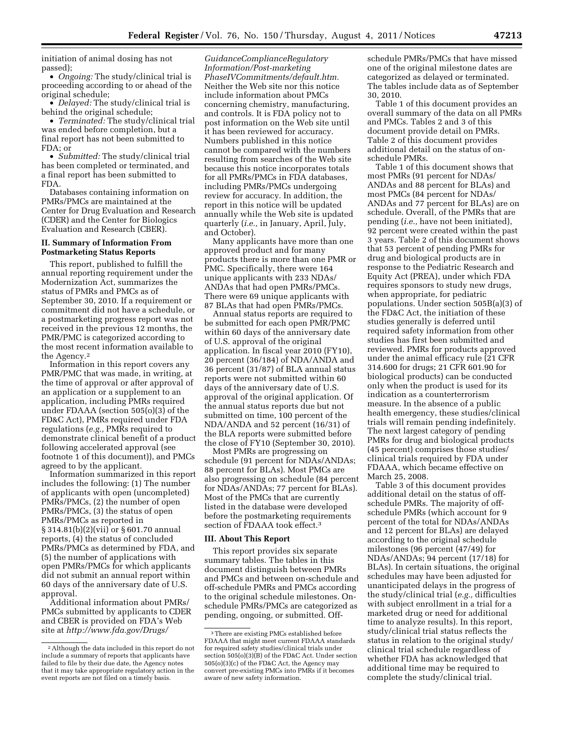initiation of animal dosing has not passed);

• *Ongoing:* The study/clinical trial is proceeding according to or ahead of the original schedule;

• *Delayed:* The study/clinical trial is behind the original schedule;

• *Terminated:* The study/clinical trial was ended before completion, but a final report has not been submitted to FDA; or

• *Submitted:* The study/clinical trial has been completed or terminated, and a final report has been submitted to FDA.

Databases containing information on PMRs/PMCs are maintained at the Center for Drug Evaluation and Research (CDER) and the Center for Biologics Evaluation and Research (CBER).

## **II. Summary of Information From Postmarketing Status Reports**

This report, published to fulfill the annual reporting requirement under the Modernization Act, summarizes the status of PMRs and PMCs as of September 30, 2010. If a requirement or commitment did not have a schedule, or a postmarketing progress report was not received in the previous 12 months, the PMR/PMC is categorized according to the most recent information available to the Agency.2

Information in this report covers any PMR/PMC that was made, in writing, at the time of approval or after approval of an application or a supplement to an application, including PMRs required under FDAAA (section 505(o)(3) of the FD&C Act), PMRs required under FDA regulations (*e.g.,* PMRs required to demonstrate clinical benefit of a product following accelerated approval (see footnote 1 of this document)), and PMCs agreed to by the applicant.

Information summarized in this report includes the following: (1) The number of applicants with open (uncompleted) PMRs/PMCs, (2) the number of open PMRs/PMCs, (3) the status of open PMRs/PMCs as reported in § 314.81(b)(2)(vii) or § 601.70 annual reports, (4) the status of concluded PMRs/PMCs as determined by FDA, and (5) the number of applications with open PMRs/PMCs for which applicants did not submit an annual report within 60 days of the anniversary date of U.S. approval.

Additional information about PMRs/ PMCs submitted by applicants to CDER and CBER is provided on FDA's Web site at *[http://www.fda.gov/Drugs/](http://www.fda.gov/Drugs/GuidanceComplianceRegulatoryInformation/Post-marketingPhaseIVCommitments/default.htm)*

*[GuidanceComplianceRegulatory](http://www.fda.gov/Drugs/GuidanceComplianceRegulatoryInformation/Post-marketingPhaseIVCommitments/default.htm) [Information/Post-marketing](http://www.fda.gov/Drugs/GuidanceComplianceRegulatoryInformation/Post-marketingPhaseIVCommitments/default.htm) [PhaseIVCommitments/default.htm.](http://www.fda.gov/Drugs/GuidanceComplianceRegulatoryInformation/Post-marketingPhaseIVCommitments/default.htm)*  Neither the Web site nor this notice include information about PMCs concerning chemistry, manufacturing, and controls. It is FDA policy not to post information on the Web site until it has been reviewed for accuracy. Numbers published in this notice cannot be compared with the numbers resulting from searches of the Web site because this notice incorporates totals for all PMRs/PMCs in FDA databases, including PMRs/PMCs undergoing review for accuracy. In addition, the report in this notice will be updated annually while the Web site is updated quarterly (*i.e.,* in January, April, July, and October).

Many applicants have more than one approved product and for many products there is more than one PMR or PMC. Specifically, there were 164 unique applicants with 233 NDAs/ ANDAs that had open PMRs/PMCs. There were 69 unique applicants with 87 BLAs that had open PMRs/PMCs.

Annual status reports are required to be submitted for each open PMR/PMC within 60 days of the anniversary date of U.S. approval of the original application. In fiscal year 2010 (FY10), 20 percent (36/184) of NDA/ANDA and 36 percent (31/87) of BLA annual status reports were not submitted within 60 days of the anniversary date of U.S. approval of the original application. Of the annual status reports due but not submitted on time, 100 percent of the NDA/ANDA and 52 percent (16/31) of the BLA reports were submitted before the close of FY10 (September 30, 2010).

Most PMRs are progressing on schedule (91 percent for NDAs/ANDAs; 88 percent for BLAs). Most PMCs are also progressing on schedule (84 percent for NDAs/ANDAs; 77 percent for BLAs). Most of the PMCs that are currently listed in the database were developed before the postmarketing requirements section of FDAAA took effect.3

#### **III. About This Report**

This report provides six separate summary tables. The tables in this document distinguish between PMRs and PMCs and between on-schedule and off-schedule PMRs and PMCs according to the original schedule milestones. Onschedule PMRs/PMCs are categorized as pending, ongoing, or submitted. Offschedule PMRs/PMCs that have missed one of the original milestone dates are categorized as delayed or terminated. The tables include data as of September 30, 2010.

Table 1 of this document provides an overall summary of the data on all PMRs and PMCs. Tables 2 and 3 of this document provide detail on PMRs. Table 2 of this document provides additional detail on the status of onschedule PMRs.

Table 1 of this document shows that most PMRs (91 percent for NDAs/ ANDAs and 88 percent for BLAs) and most PMCs (84 percent for NDAs/ ANDAs and 77 percent for BLAs) are on schedule. Overall, of the PMRs that are pending (*i.e.,* have not been initiated), 92 percent were created within the past 3 years. Table 2 of this document shows that 53 percent of pending PMRs for drug and biological products are in response to the Pediatric Research and Equity Act (PREA), under which FDA requires sponsors to study new drugs, when appropriate, for pediatric populations. Under section 505B(a)(3) of the FD&C Act, the initiation of these studies generally is deferred until required safety information from other studies has first been submitted and reviewed. PMRs for products approved under the animal efficacy rule (21 CFR 314.600 for drugs; 21 CFR 601.90 for biological products) can be conducted only when the product is used for its indication as a counterterrorism measure. In the absence of a public health emergency, these studies/clinical trials will remain pending indefinitely. The next largest category of pending PMRs for drug and biological products (45 percent) comprises those studies/ clinical trials required by FDA under FDAAA, which became effective on March 25, 2008.

Table 3 of this document provides additional detail on the status of offschedule PMRs. The majority of offschedule PMRs (which account for 9 percent of the total for NDAs/ANDAs and 12 percent for BLAs) are delayed according to the original schedule milestones (96 percent (47/49) for NDAs/ANDAs; 94 percent (17/18) for BLAs). In certain situations, the original schedules may have been adjusted for unanticipated delays in the progress of the study/clinical trial (*e.g.,* difficulties with subject enrollment in a trial for a marketed drug or need for additional time to analyze results). In this report, study/clinical trial status reflects the status in relation to the original study/ clinical trial schedule regardless of whether FDA has acknowledged that additional time may be required to complete the study/clinical trial.

<sup>2</sup>Although the data included in this report do not include a summary of reports that applicants have failed to file by their due date, the Agency notes that it may take appropriate regulatory action in the event reports are not filed on a timely basis.

<sup>3</sup>There are existing PMCs established before FDAAA that might meet current FDAAA standards for required safety studies/clinical trials under section 505(o)(3)(B) of the FD&C Act. Under section 505(o)(3)(c) of the FD&C Act, the Agency may convert pre-existing PMCs into PMRs if it becomes aware of new safety information.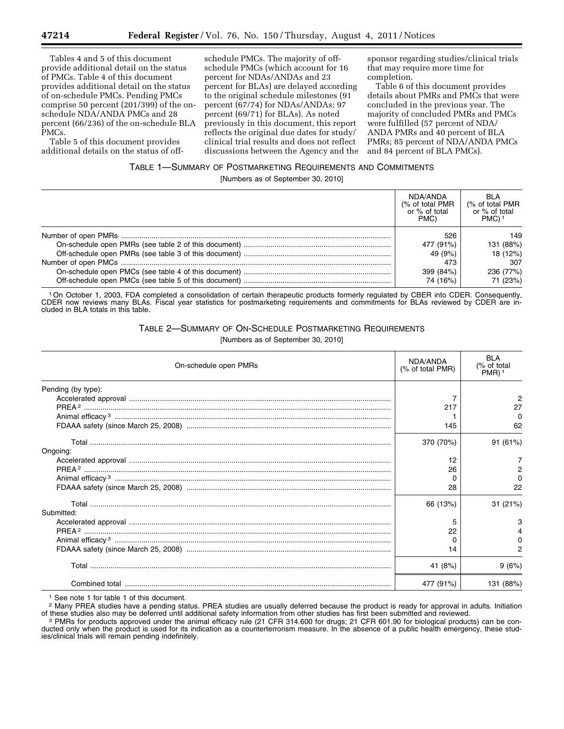Tables 4 and 5 of this document provide additional detail on the status of PMCs. Table 4 of this document provides additional detail on the status of on-schedule PMCs. Pending PMCs comprise 50 percent (201/399) of the onschedule NDA/ANDA PMCs and 28 percent (66/236) of the on-schedule BLA PMCs.

Table 5 of this document provides additional details on the status of off-

schedule PMCs. The majority of offschedule PMCs (which account for 16 percent for NDAs/ANDAs and 23 percent for BLAs) are delayed according to the original schedule milestones (91 percent (67/74) for NDAs/ANDAs; 97 percent (69/71) for BLAs). As noted previously in this document, this report reflects the original due dates for study/ clinical trial results and does not reflect discussions between the Agency and the sponsor regarding studies/clinical trials that may require more time for completion.

Table 6 of this document provides details about PMRs and PMCs that were concluded in the previous year. The majority of concluded PMRs and PMCs were fulfilled (57 percent of NDA/ ANDA PMRs and 40 percent of BLA PMRs; 85 percent of NDA/ANDA PMCs and 84 percent of BLA PMCs).

# TABLE 1—SUMMARY OF POSTMARKETING REQUIREMENTS AND COMMITMENTS

[Numbers as of September 30, 2010]

| NDA/ANDA<br>(% of total PMR)<br>or % of total<br>PMC) | <b>BLA</b><br>(% of total PMR<br>or % of total<br>PMC) <sup>1</sup> |
|-------------------------------------------------------|---------------------------------------------------------------------|
| 526                                                   | 149                                                                 |
| 477 (91%)                                             | 131 (88%)                                                           |
| 49 (9%)                                               | 18 (12%)                                                            |
| 473                                                   | 307                                                                 |
| 399 (84%)                                             | 236 (77%)                                                           |
| 74 (16%)                                              | 71 (23%)                                                            |

1On October 1, 2003, FDA completed a consolidation of certain therapeutic products formerly regulated by CBER into CDER. Consequently, CDER now reviews many BLAs. Fiscal year statistics for postmarketing requirements and commitments for BLAs reviewed by CDER are included in BLA totals in this table.

TABLE 2—SUMMARY OF ON-SCHEDULE POSTMARKETING REQUIREMENTS

[Numbers as of September 30, 2010]

| On-schedule open PMRs | NDA/ANDA<br>(% of total PMR) | <b>BLA</b><br>(% of total<br>$PMR$ ) <sup>1</sup> |
|-----------------------|------------------------------|---------------------------------------------------|
| Pending (by type):    |                              |                                                   |
|                       |                              | 2                                                 |
|                       | 217                          | 27                                                |
|                       |                              | O                                                 |
|                       | 145                          | 62                                                |
|                       | 370 (70%)                    | 91 (61%)                                          |
| Ongoing:              |                              |                                                   |
|                       | 12                           |                                                   |
|                       | 26                           |                                                   |
|                       |                              |                                                   |
|                       | 28                           | 22                                                |
|                       | 66 (13%)                     | 31(21%)                                           |
| Submitted:            |                              |                                                   |
|                       | 5                            | з                                                 |
|                       | 22                           |                                                   |
|                       |                              |                                                   |
|                       | 14                           |                                                   |
|                       | 41 (8%)                      | 9(6%)                                             |
|                       | 477 (91%)                    | 131 (88%)                                         |

1 See note 1 for table 1 of this document.

<sup>2</sup> Many PREA studies have a pending status. PREA studies are usually deferred because the product is ready for approval in adults. Initiation of these studies also may be deferred until additional safety information from

<sup>3</sup> PMRs for products approved under the animal efficacy rule (21 CFR 314.600 for drugs; 21 CFR 601.90 for biological products) can be conducted only when the product is used for its indication as a counterterrorism measure. In the absence of a public health emergency, these studies/clinical trials will remain pending indefinitely.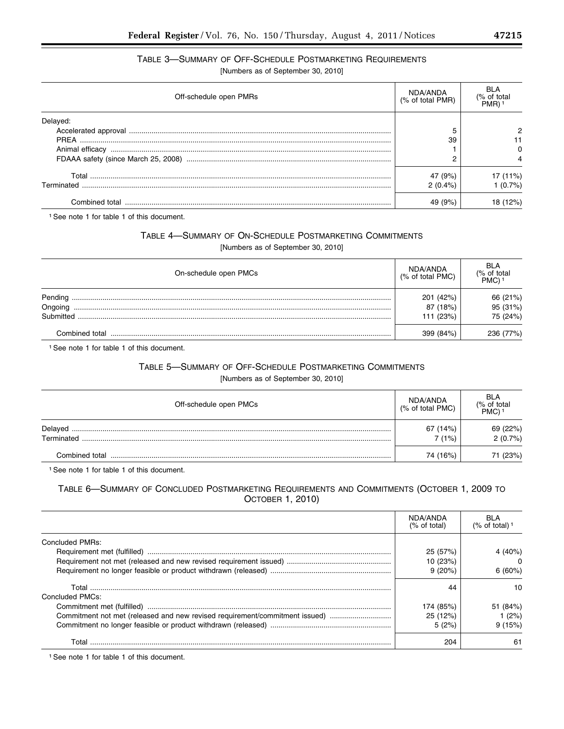# TABLE 3—SUMMARY OF OFF-SCHEDULE POSTMARKETING REQUIREMENTS

[Numbers as of September 30, 2010]

| Off-schedule open PMRs | NDA/ANDA<br>(% of total PMR) | BI A<br>$\frac{1}{2}$ of total<br>PMR) |
|------------------------|------------------------------|----------------------------------------|
| Delayed:               |                              |                                        |
|                        |                              |                                        |
|                        | 39                           |                                        |
|                        |                              |                                        |
|                        | ⌒                            |                                        |
|                        | 47 (9%)                      | (11%)                                  |
| Terminated             | $2(0.4\%)$                   | $(0.7\%)$                              |
|                        | 49 (9%)                      |                                        |

1See note 1 for table 1 of this document.

# TABLE 4—SUMMARY OF ON-SCHEDULE POSTMARKETING COMMITMENTS

[Numbers as of September 30, 2010]

| On-schedule open PMCs | NDA/ANDA<br>(% of total PMC) | <b>BLA</b><br>(% of total<br>PMC) <sup>1</sup> |
|-----------------------|------------------------------|------------------------------------------------|
| Pending               | 201 (42%)                    | 66 (21%)                                       |
| Ongoing               | 87 (18%)                     | 95 (31%)                                       |
| Submitted             | 111 (23%)                    | 75 (24%)                                       |
| Combined total        | 399 (84%)                    | 236 (77%)                                      |

1See note 1 for table 1 of this document.

# TABLE 5—SUMMARY OF OFF-SCHEDULE POSTMARKETING COMMITMENTS

[Numbers as of September 30, 2010]

| Off-schedule open PMCs | NDA/ANDA<br>(% of total PMC) | <b>BLA</b><br>(% of total<br>PMC) |
|------------------------|------------------------------|-----------------------------------|
| Delayed<br>Terminated  | 67 (14%)<br>7 (1%)           | 69 (22%)<br>2(0.7%)               |
| Combined total         | 74 (16%)                     | 71 (23%)                          |

1See note 1 for table 1 of this document.

# TABLE 6—SUMMARY OF CONCLUDED POSTMARKETING REQUIREMENTS AND COMMITMENTS (OCTOBER 1, 2009 TO OCTOBER 1, 2010)

|                                                                             | NDA/ANDA<br>(% of total) | BI A<br>(% of total) <sup>1</sup> |
|-----------------------------------------------------------------------------|--------------------------|-----------------------------------|
| Concluded PMRs:                                                             |                          |                                   |
|                                                                             | 25(57%)                  | 4 $(40%)$                         |
|                                                                             | 10(23%)                  |                                   |
|                                                                             | 9(20%)                   | 6(60%)                            |
| Concluded PMCs:                                                             | 44                       | 10                                |
|                                                                             | 174 (85%)                | 51 (84%)                          |
| Commitment not met (released and new revised requirement/commitment issued) | 25 (12%)                 | (2%)                              |
|                                                                             | 5(2%)                    | 9(15%)                            |
| Total                                                                       | 204                      | 61                                |

1See note 1 for table 1 of this document.